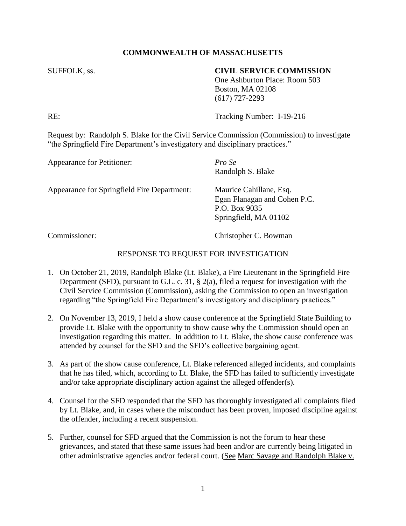## **COMMONWEALTH OF MASSACHUSETTS**

### SUFFOLK, ss. **CIVIL SERVICE COMMISSION**

One Ashburton Place: Room 503 Boston, MA 02108 (617) 727-2293

RE: Tracking Number: I-19-216

Request by: Randolph S. Blake for the Civil Service Commission (Commission) to investigate "the Springfield Fire Department's investigatory and disciplinary practices."

| Appearance for Petitioner:                  | Pro Se<br>Randolph S. Blake                                                                       |
|---------------------------------------------|---------------------------------------------------------------------------------------------------|
| Appearance for Springfield Fire Department: | Maurice Cahillane, Esq.<br>Egan Flanagan and Cohen P.C.<br>P.O. Box 9035<br>Springfield, MA 01102 |

Commissioner: Christopher C. Bowman

# RESPONSE TO REQUEST FOR INVESTIGATION

- 1. On October 21, 2019, Randolph Blake (Lt. Blake), a Fire Lieutenant in the Springfield Fire Department (SFD), pursuant to G.L. c. 31, § 2(a), filed a request for investigation with the Civil Service Commission (Commission), asking the Commission to open an investigation regarding "the Springfield Fire Department's investigatory and disciplinary practices."
- 2. On November 13, 2019, I held a show cause conference at the Springfield State Building to provide Lt. Blake with the opportunity to show cause why the Commission should open an investigation regarding this matter. In addition to Lt. Blake, the show cause conference was attended by counsel for the SFD and the SFD's collective bargaining agent.
- 3. As part of the show cause conference, Lt. Blake referenced alleged incidents, and complaints that he has filed, which, according to Lt. Blake, the SFD has failed to sufficiently investigate and/or take appropriate disciplinary action against the alleged offender(s).
- 4. Counsel for the SFD responded that the SFD has thoroughly investigated all complaints filed by Lt. Blake, and, in cases where the misconduct has been proven, imposed discipline against the offender, including a recent suspension.
- 5. Further, counsel for SFD argued that the Commission is not the forum to hear these grievances, and stated that these same issues had been and/or are currently being litigated in other administrative agencies and/or federal court. (See Marc Savage and Randolph Blake v.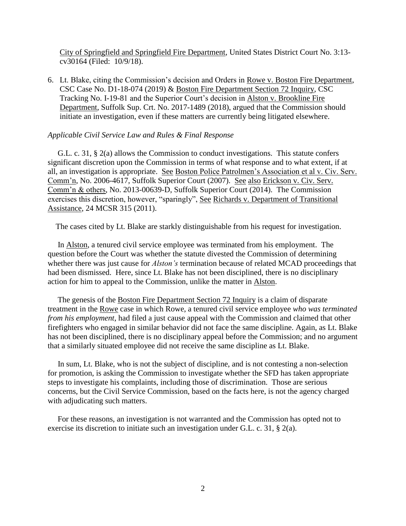City of Springfield and Springfield Fire Department, United States District Court No. 3:13 cv30164 (Filed: 10/9/18).

6. Lt. Blake, citing the Commission's decision and Orders in Rowe v. Boston Fire Department, CSC Case No. D1-18-074 (2019) & Boston Fire Department Section 72 Inquiry, CSC Tracking No. I-19-81 and the Superior Court's decision in Alston v. Brookline Fire Department, Suffolk Sup. Crt. No. 2017-1489 (2018), argued that the Commission should initiate an investigation, even if these matters are currently being litigated elsewhere.

#### *Applicable Civil Service Law and Rules & Final Response*

 G.L. c. 31, § 2(a) allows the Commission to conduct investigations. This statute confers significant discretion upon the Commission in terms of what response and to what extent, if at all, an investigation is appropriate. See Boston Police Patrolmen's Association et al v. Civ. Serv. Comm'n, No. 2006-4617, Suffolk Superior Court (2007). See also Erickson v. Civ. Serv. Comm'n & others, No. 2013-00639-D, Suffolk Superior Court (2014). The Commission exercises this discretion, however, "sparingly", See Richards v. Department of Transitional Assistance, 24 MCSR 315 (2011).

The cases cited by Lt. Blake are starkly distinguishable from his request for investigation.

 In Alston, a tenured civil service employee was terminated from his employment. The question before the Court was whether the statute divested the Commission of determining whether there was just cause for *Alston's* termination because of related MCAD proceedings that had been dismissed. Here, since Lt. Blake has not been disciplined, there is no disciplinary action for him to appeal to the Commission, unlike the matter in Alston.

 The genesis of the Boston Fire Department Section 72 Inquiry is a claim of disparate treatment in the Rowe case in which Rowe, a tenured civil service employee *who was terminated from his employment*, had filed a just cause appeal with the Commission and claimed that other firefighters who engaged in similar behavior did not face the same discipline. Again, as Lt. Blake has not been disciplined, there is no disciplinary appeal before the Commission; and no argument that a similarly situated employee did not receive the same discipline as Lt. Blake.

 In sum, Lt. Blake, who is not the subject of discipline, and is not contesting a non-selection for promotion, is asking the Commission to investigate whether the SFD has taken appropriate steps to investigate his complaints, including those of discrimination. Those are serious concerns, but the Civil Service Commission, based on the facts here, is not the agency charged with adjudicating such matters.

 For these reasons, an investigation is not warranted and the Commission has opted not to exercise its discretion to initiate such an investigation under G.L. c. 31, § 2(a).